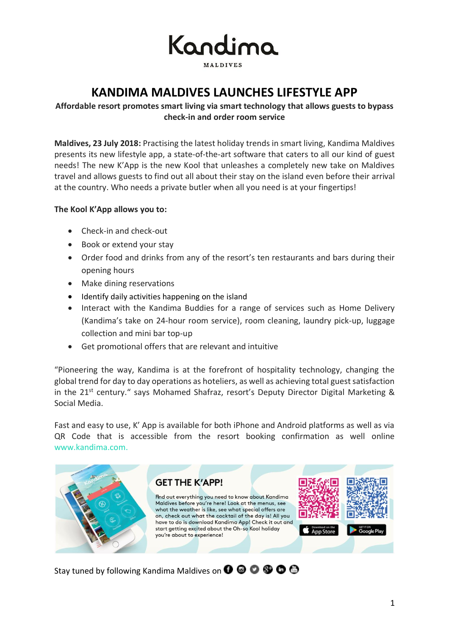

**MAIDIVES** 

# **KANDIMA MALDIVES LAUNCHES LIFESTYLE APP**

## **Affordable resort promotes smart living via smart technology that allows guests to bypass check-in and order room service**

**Maldives, 23 July 2018:** Practising the latest holiday trends in smart living, Kandima Maldives presents its new lifestyle app, a state-of-the-art software that caters to all our kind of guest needs! The new K'App is the new Kool that unleashes a completely new take on Maldives travel and allows guests to find out all about their stay on the island even before their arrival at the country. Who needs a private butler when all you need is at your fingertips!

### **The Kool K'App allows you to:**

- Check-in and check-out
- Book or extend your stay
- Order food and drinks from any of the resort's ten restaurants and bars during their opening hours
- Make dining reservations
- Identify daily activities happening on the island
- Interact with the Kandima Buddies for a range of services such as Home Delivery (Kandima's take on 24-hour room service), room cleaning, laundry pick-up, luggage collection and mini bar top-up
- Get promotional offers that are relevant and intuitive

"Pioneering the way, Kandima is at the forefront of hospitality technology, changing the global trend for day to day operations as hoteliers, as well as achieving total guest satisfaction in the 21<sup>st</sup> century." says Mohamed Shafraz, resort's Deputy Director Digital Marketing & Social Media.

Fast and easy to use, K' App is available for both iPhone and Android platforms as well as via QR Code that is accessible from the resort booking confirmation as well online [www.kandima.com.](http://www.kandima.com/)



Stay tuned by following Kandima Maldives on  $\mathbf{O} \otimes \mathbf{O} \otimes \mathbf{O}$